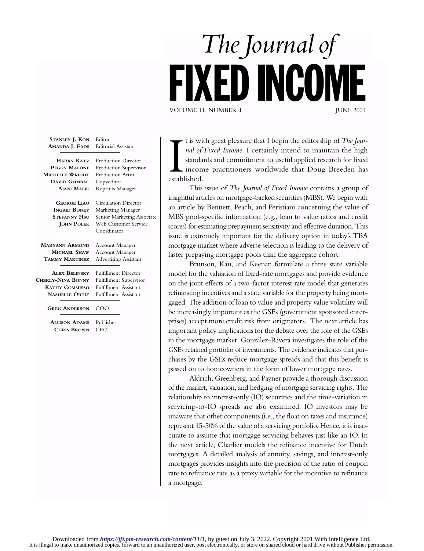## *The Journal of* ED INCOME VOLUME 11, NUMBER 1

| STANLEY J. KON<br>AMANDA J. EADS | Editor<br><b>Editorial Assistant</b> |
|----------------------------------|--------------------------------------|
| <b>HARRY KATZ</b>                | Production Director                  |
| PEGGY MALONE                     | Production Supervisor                |
| MICHELLE WRIGHT                  | Production Artist                    |
| <b>DAVID GOMBAC</b>              | Copyeditor                           |
| AJANI MALIK                      | Reprints Manager                     |
| <b>GEORGE LIAO</b>               | <b>Circulation Director</b>          |
| <b>INGRID BONEY</b>              | Marketing Manager                    |
| Stefanny Hsu                     | Senior Marketing Associate           |
| <b>JOHN POLEK</b>                | Web Customer Service                 |
|                                  | Coordinator                          |
| <b>MARYANN ARMOND</b>            | Account Manager                      |
| MICHAEL SHAW                     | Account Manager                      |
| TAMMY MARTINEZ                   | <b>Advertising Assistant</b>         |
| <b>ALEX BELINSKY</b>             | <b>Fulfillment Director</b>          |
| CHERLY-NINA BONNY                | <b>Fulfillment Supervisor</b>        |
| <b>KATHY COMMISSO</b>            | <b>Fulfillment Assistant</b>         |
| <b>NASHELLE ORTIZ</b>            | <b>Fulfillment Assistant</b>         |
| <b>GREG ANDERSON</b>             | COO                                  |
| <b>ALLISON ADAMS</b>             | Publisher                            |
| <b>CHRIS BROWN</b>               | CEO                                  |

t is with the standa<br>
incomestablished. t is with great pleasure that I begin the editorship of *The Journal of Fixed Income*. I certainly intend to maintain the high standards and commitment to useful applied research for fixed income practitioners worldwide that Doug Breeden has

This issue of *The Journal of Fixed Income* contains a group of insightful articles on mortgage-backed securities (MBS). We begin with an article by Bennett, Peach, and Peristiani concerning the value of MBS pool-specific information (e.g., loan to value ratios and credit scores) for estimating prepayment sensitivity and effective duration. This issue is extremely important for the delivery option in today's TBA mortgage market where adverse selection is leading to the delivery of faster prepaying mortgage pools than the aggregate cohort.

Brunson, Kau, and Keenan formulate a three state variable model for the valuation of fixed-rate mortgages and provide evidence on the joint effects of a two-factor interest rate model that generates refinancing incentives and a state variable for the property being mortgaged. The addition of loan to value and property value volatility will be increasingly important as the GSEs (government sponsored enterprises) accept more credit risk from originators. The next article has important policy implications for the debate over the role of the GSEs in the mortgage market. González-Rivera investigates the role of the GSEs retained portfolio of investments. The evidence indicates that purchases by the GSEs reduce mortgage spreads and that this benefit is passed on to homeowners in the form of lower mortgage rates.

Aldrich, Greenberg, and Payner provide a thorough discussion of the market, valuation, and hedging of mortgage servicing rights. The relationship to interest-only (IO) securities and the time-variation in servicing-to-IO spreads are also examined. IO investors may be unaware that other components (i.e., the float on taxes and insurance) represent 15-50% of the value of a servicing portfolio. Hence, it is inaccurate to assume that mortgage servicing behaves just like an IO. In the next article, Charlier models the refinance incentive for Dutch mortgages. A detailed analysis of annuity, savings, and interest-only mortgages provides insights into the precision of the ratio of coupon rate to refinance rate as a proxy variable for the incentive to refinance a mortgage.